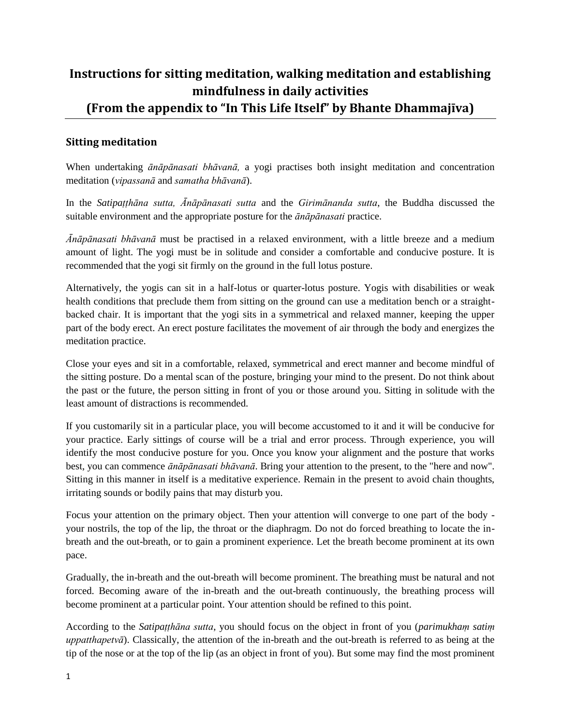## **Instructions for sitting meditation, walking meditation and establishing mindfulness in daily activities (From the appendix to "In This Life Itself" by Bhante Dhammajīva)**

## **Sitting meditation**

When undertaking *ānāpānasati bhāvanā,* a yogi practises both insight meditation and concentration meditation (*vipassanā* and *samatha bhāvanā*).

In the *Satipaṭṭhāna sutta, Ānāpānasati sutta* and the *Girimānanda sutta*, the Buddha discussed the suitable environment and the appropriate posture for the *ānāpānasati* practice.

*Ānāpānasati bhāvanā* must be practised in a relaxed environment, with a little breeze and a medium amount of light. The yogi must be in solitude and consider a comfortable and conducive posture. It is recommended that the yogi sit firmly on the ground in the full lotus posture.

Alternatively, the yogis can sit in a half-lotus or quarter-lotus posture. Yogis with disabilities or weak health conditions that preclude them from sitting on the ground can use a meditation bench or a straightbacked chair. It is important that the yogi sits in a symmetrical and relaxed manner, keeping the upper part of the body erect. An erect posture facilitates the movement of air through the body and energizes the meditation practice.

Close your eyes and sit in a comfortable, relaxed, symmetrical and erect manner and become mindful of the sitting posture. Do a mental scan of the posture, bringing your mind to the present. Do not think about the past or the future, the person sitting in front of you or those around you. Sitting in solitude with the least amount of distractions is recommended.

If you customarily sit in a particular place, you will become accustomed to it and it will be conducive for your practice. Early sittings of course will be a trial and error process. Through experience, you will identify the most conducive posture for you. Once you know your alignment and the posture that works best, you can commence *ānāpānasati bhāvanā*. Bring your attention to the present, to the "here and now". Sitting in this manner in itself is a meditative experience. Remain in the present to avoid chain thoughts, irritating sounds or bodily pains that may disturb you.

Focus your attention on the primary object. Then your attention will converge to one part of the body your nostrils, the top of the lip, the throat or the diaphragm. Do not do forced breathing to locate the inbreath and the out-breath, or to gain a prominent experience. Let the breath become prominent at its own pace.

Gradually, the in-breath and the out-breath will become prominent. The breathing must be natural and not forced. Becoming aware of the in-breath and the out-breath continuously, the breathing process will become prominent at a particular point. Your attention should be refined to this point.

According to the *Satipaṭṭhāna sutta*, you should focus on the object in front of you (*parimukhaṃ satiṃ uppatthapetvā*). Classically, the attention of the in-breath and the out-breath is referred to as being at the tip of the nose or at the top of the lip (as an object in front of you). But some may find the most prominent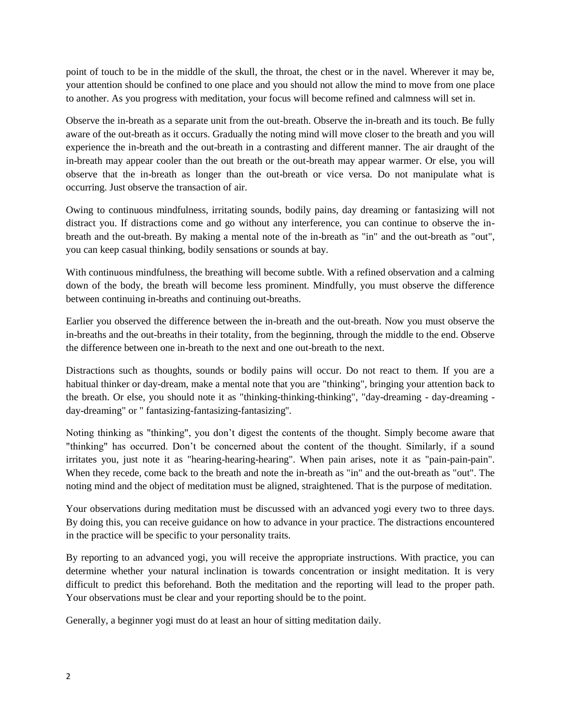point of touch to be in the middle of the skull, the throat, the chest or in the navel. Wherever it may be, your attention should be confined to one place and you should not allow the mind to move from one place to another. As you progress with meditation, your focus will become refined and calmness will set in.

Observe the in-breath as a separate unit from the out-breath. Observe the in-breath and its touch. Be fully aware of the out-breath as it occurs. Gradually the noting mind will move closer to the breath and you will experience the in-breath and the out-breath in a contrasting and different manner. The air draught of the in-breath may appear cooler than the out breath or the out-breath may appear warmer. Or else, you will observe that the in-breath as longer than the out-breath or vice versa. Do not manipulate what is occurring. Just observe the transaction of air.

Owing to continuous mindfulness, irritating sounds, bodily pains, day dreaming or fantasizing will not distract you. If distractions come and go without any interference, you can continue to observe the inbreath and the out-breath. By making a mental note of the in-breath as "in" and the out-breath as "out", you can keep casual thinking, bodily sensations or sounds at bay.

With continuous mindfulness, the breathing will become subtle. With a refined observation and a calming down of the body, the breath will become less prominent. Mindfully, you must observe the difference between continuing in-breaths and continuing out-breaths.

Earlier you observed the difference between the in-breath and the out-breath. Now you must observe the in-breaths and the out-breaths in their totality, from the beginning, through the middle to the end. Observe the difference between one in-breath to the next and one out-breath to the next.

Distractions such as thoughts, sounds or bodily pains will occur. Do not react to them. If you are a habitual thinker or day-dream, make a mental note that you are "thinking", bringing your attention back to the breath. Or else, you should note it as "thinking-thinking-thinking", "day-dreaming - day-dreaming day-dreaming" or " fantasizing-fantasizing-fantasizing''.

Noting thinking as "thinking", you don't digest the contents of the thought. Simply become aware that "thinking" has occurred. Don't be concerned about the content of the thought. Similarly, if a sound irritates you, just note it as "hearing-hearing-hearing". When pain arises, note it as "pain-pain-pain". When they recede, come back to the breath and note the in-breath as "in" and the out-breath as "out". The noting mind and the object of meditation must be aligned, straightened. That is the purpose of meditation.

Your observations during meditation must be discussed with an advanced yogi every two to three days. By doing this, you can receive guidance on how to advance in your practice. The distractions encountered in the practice will be specific to your personality traits.

By reporting to an advanced yogi, you will receive the appropriate instructions. With practice, you can determine whether your natural inclination is towards concentration or insight meditation. It is very difficult to predict this beforehand. Both the meditation and the reporting will lead to the proper path. Your observations must be clear and your reporting should be to the point.

Generally, a beginner yogi must do at least an hour of sitting meditation daily.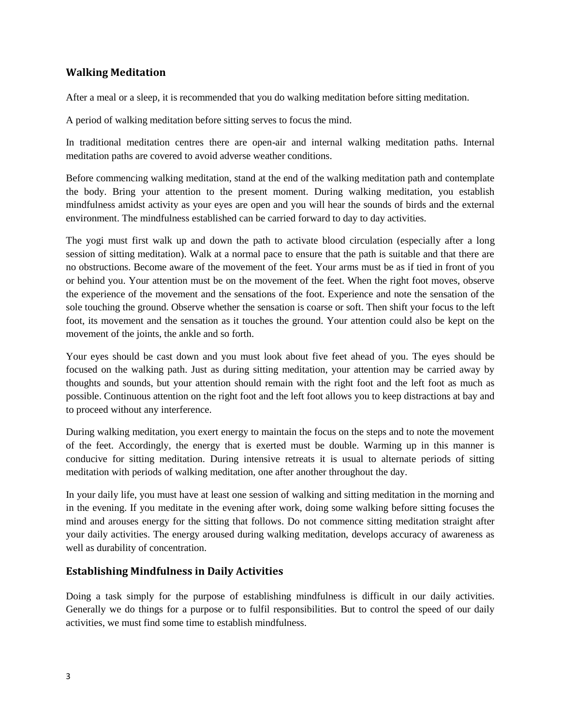## **Walking Meditation**

After a meal or a sleep, it is recommended that you do walking meditation before sitting meditation.

A period of walking meditation before sitting serves to focus the mind.

In traditional meditation centres there are open-air and internal walking meditation paths. Internal meditation paths are covered to avoid adverse weather conditions.

Before commencing walking meditation, stand at the end of the walking meditation path and contemplate the body. Bring your attention to the present moment. During walking meditation, you establish mindfulness amidst activity as your eyes are open and you will hear the sounds of birds and the external environment. The mindfulness established can be carried forward to day to day activities.

The yogi must first walk up and down the path to activate blood circulation (especially after a long session of sitting meditation). Walk at a normal pace to ensure that the path is suitable and that there are no obstructions. Become aware of the movement of the feet. Your arms must be as if tied in front of you or behind you. Your attention must be on the movement of the feet. When the right foot moves, observe the experience of the movement and the sensations of the foot. Experience and note the sensation of the sole touching the ground. Observe whether the sensation is coarse or soft. Then shift your focus to the left foot, its movement and the sensation as it touches the ground. Your attention could also be kept on the movement of the joints, the ankle and so forth.

Your eyes should be cast down and you must look about five feet ahead of you. The eyes should be focused on the walking path. Just as during sitting meditation, your attention may be carried away by thoughts and sounds, but your attention should remain with the right foot and the left foot as much as possible. Continuous attention on the right foot and the left foot allows you to keep distractions at bay and to proceed without any interference.

During walking meditation, you exert energy to maintain the focus on the steps and to note the movement of the feet. Accordingly, the energy that is exerted must be double. Warming up in this manner is conducive for sitting meditation. During intensive retreats it is usual to alternate periods of sitting meditation with periods of walking meditation, one after another throughout the day.

In your daily life, you must have at least one session of walking and sitting meditation in the morning and in the evening. If you meditate in the evening after work, doing some walking before sitting focuses the mind and arouses energy for the sitting that follows. Do not commence sitting meditation straight after your daily activities. The energy aroused during walking meditation, develops accuracy of awareness as well as durability of concentration.

## **Establishing Mindfulness in Daily Activities**

Doing a task simply for the purpose of establishing mindfulness is difficult in our daily activities. Generally we do things for a purpose or to fulfil responsibilities. But to control the speed of our daily activities, we must find some time to establish mindfulness.